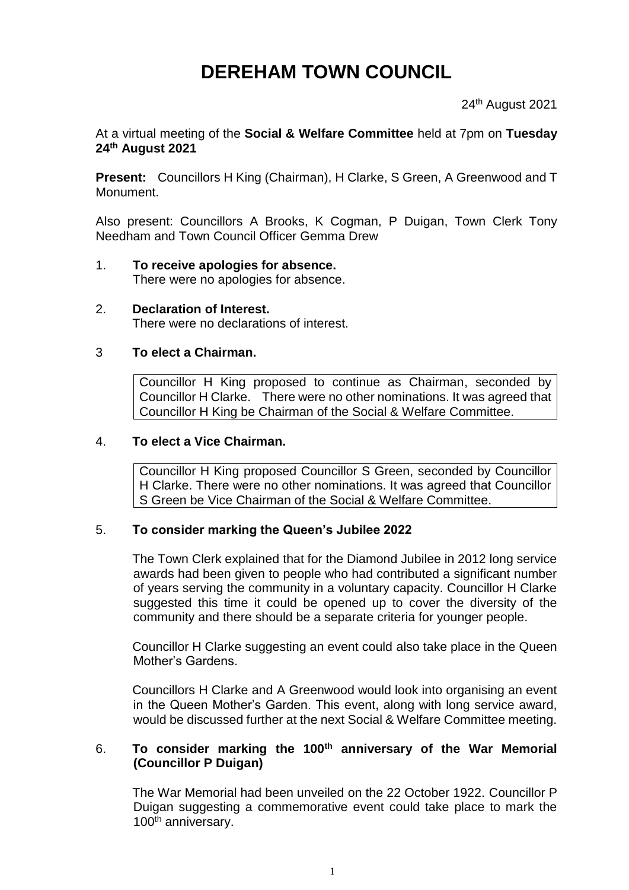# **DEREHAM TOWN COUNCIL**

24<sup>th</sup> August 2021

At a virtual meeting of the **Social & Welfare Committee** held at 7pm on **Tuesday 24th August 2021**

**Present:** Councillors H King (Chairman), H Clarke, S Green, A Greenwood and T Monument.

Also present: Councillors A Brooks, K Cogman, P Duigan, Town Clerk Tony Needham and Town Council Officer Gemma Drew

- 1. **To receive apologies for absence.** There were no apologies for absence.
- 2. **Declaration of Interest.** There were no declarations of interest.

## 3 **To elect a Chairman.**

Councillor H King proposed to continue as Chairman, seconded by Councillor H Clarke. There were no other nominations. It was agreed that Councillor H King be Chairman of the Social & Welfare Committee.

#### 4. **To elect a Vice Chairman.**

Councillor H King proposed Councillor S Green, seconded by Councillor H Clarke. There were no other nominations. It was agreed that Councillor S Green be Vice Chairman of the Social & Welfare Committee.

#### 5. **To consider marking the Queen's Jubilee 2022**

The Town Clerk explained that for the Diamond Jubilee in 2012 long service awards had been given to people who had contributed a significant number of years serving the community in a voluntary capacity. Councillor H Clarke suggested this time it could be opened up to cover the diversity of the community and there should be a separate criteria for younger people.

Councillor H Clarke suggesting an event could also take place in the Queen Mother's Gardens.

Councillors H Clarke and A Greenwood would look into organising an event in the Queen Mother's Garden. This event, along with long service award, would be discussed further at the next Social & Welfare Committee meeting.

## 6. **To consider marking the 100th anniversary of the War Memorial (Councillor P Duigan)**

The War Memorial had been unveiled on the 22 October 1922. Councillor P Duigan suggesting a commemorative event could take place to mark the 100<sup>th</sup> anniversary.